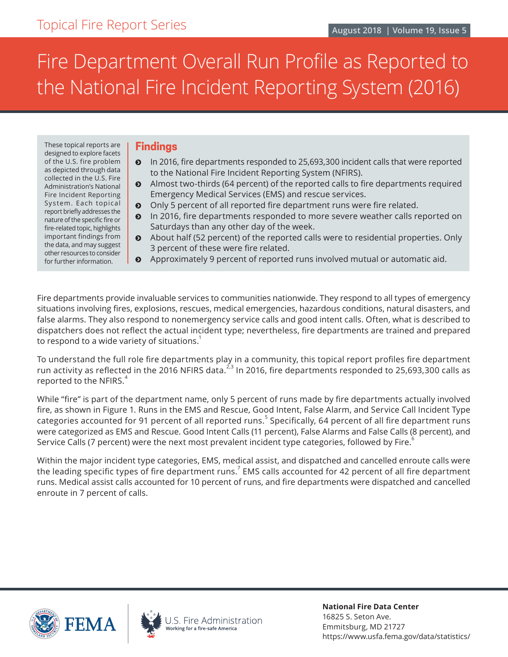# Fire Department Overall Run Profile as Reported to the National Fire Incident Reporting System (2016)

These topical reports are designed to explore facets of the U.S. fire problem as depicted through data collected in the U.S. Fire Administration's National Fire Incident Reporting System. Each topical report briefly addresses the nature of the specific fire or fire-related topic, highlights important findings from the data, and may suggest other resources to consider for further information.

#### **Findings**

- ĵ In 2016, fire departments responded to 25,693,300 incident calls that were reported to the National Fire Incident Reporting System (NFIRS).
- ĵ Almost two-thirds (64 percent) of the reported calls to fire departments required Emergency Medical Services (EMS) and rescue services.
- $\odot$  Only 5 percent of all reported fire department runs were fire related.
- In 2016, fire departments responded to more severe weather calls reported on Saturdays than any other day of the week.
- ĵ About half (52 percent) of the reported calls were to residential properties. Only 3 percent of these were fire related.
- ĵ Approximately 9 percent of reported runs involved mutual or automatic aid.

Fire departments provide invaluable services to communities nationwide. They respond to all types of emergency situations involving fires, explosions, rescues, medical emergencies, hazardous conditions, natural disasters, and false alarms. They also respond to nonemergency service calls and good intent calls. Often, what is described to dispatchers does not reflect the actual incident type; nevertheless, fire departments are trained and prepared to respond to a wide variety of situations. $^1$ 

To understand the full role fire departments play in a community, this topical report profiles fire department run activity as reflected in the 2016 NFIRS data.<sup>2,3</sup> In 2016, fire departments responded to 25,693,300 calls as reported to the NFIRS.<sup>4</sup>

While "fire" is part of the department name, only 5 percent of runs made by fire departments actually involved fire, as shown in Figure 1. Runs in the EMS and Rescue, Good Intent, False Alarm, and Service Call Incident Type categories accounted for 91 percent of all reported runs.<sup>5</sup> Specifically, 64 percent of all fire department runs were categorized as EMS and Rescue. Good Intent Calls (11 percent), False Alarms and False Calls (8 percent), and Service Calls (7 percent) were the next most prevalent incident type categories, followed by Fire.<sup>6</sup>

Within the major incident type categories, EMS, medical assist, and dispatched and cancelled enroute calls were the leading specific types of fire department runs. $^7$  EMS calls accounted for 42 percent of all fire department runs. Medical assist calls accounted for 10 percent of runs, and fire departments were dispatched and cancelled enroute in 7 percent of calls.





.S. Fire Administration Working for a fire-safe America

**National Fire Data Center** 16825 S. Seton Ave. Emmitsburg, MD 21727 https://www.usfa.fema.gov/data/statistics/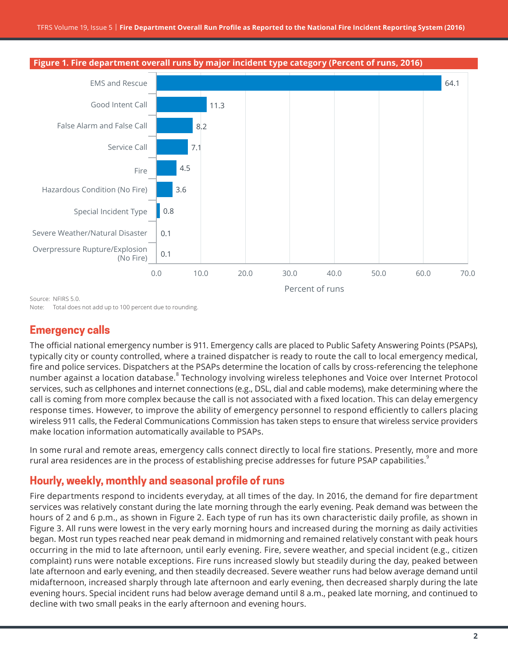

**Figure 1. Fire department overall runs by major incident type category (Percent of runs, 2016)**

Source: NFIRS 5.0.

Note: Total does not add up to 100 percent due to rounding.

### **Emergency calls**

The official national emergency number is 911. Emergency calls are placed to Public Safety Answering Points (PSAPs), typically city or county controlled, where a trained dispatcher is ready to route the call to local emergency medical, fire and police services. Dispatchers at the PSAPs determine the location of calls by cross-referencing the telephone number against a location database.<sup>8</sup> Technology involving wireless telephones and Voice over Internet Protocol services, such as cellphones and internet connections (e.g., DSL, dial and cable modems), make determining where the call is coming from more complex because the call is not associated with a fixed location. This can delay emergency response times. However, to improve the ability of emergency personnel to respond efficiently to callers placing wireless 911 calls, the Federal Communications Commission has taken steps to ensure that wireless service providers make location information automatically available to PSAPs.

In some rural and remote areas, emergency calls connect directly to local fire stations. Presently, more and more rural area residences are in the process of establishing precise addresses for future PSAP capabilities.<sup>9</sup>

# **Hourly, weekly, monthly and seasonal profile of runs**

Fire departments respond to incidents everyday, at all times of the day. In 2016, the demand for fire department services was relatively constant during the late morning through the early evening. Peak demand was between the hours of 2 and 6 p.m., as shown in Figure 2. Each type of run has its own characteristic daily profile, as shown in Figure 3. All runs were lowest in the very early morning hours and increased during the morning as daily activities began. Most run types reached near peak demand in midmorning and remained relatively constant with peak hours occurring in the mid to late afternoon, until early evening. Fire, severe weather, and special incident (e.g., citizen complaint) runs were notable exceptions. Fire runs increased slowly but steadily during the day, peaked between late afternoon and early evening, and then steadily decreased. Severe weather runs had below average demand until midafternoon, increased sharply through late afternoon and early evening, then decreased sharply during the late evening hours. Special incident runs had below average demand until 8 a.m., peaked late morning, and continued to decline with two small peaks in the early afternoon and evening hours.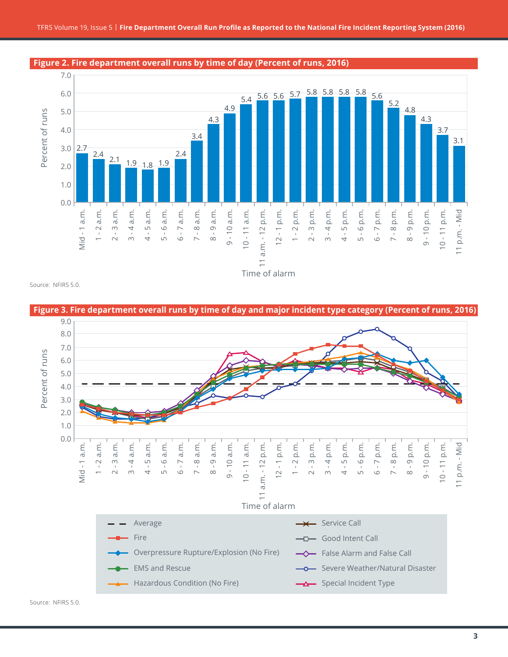

**Figure 2. Fire department overall runs by time of day (Percent of runs, 2016)**

Source: NFIRS 5.0.

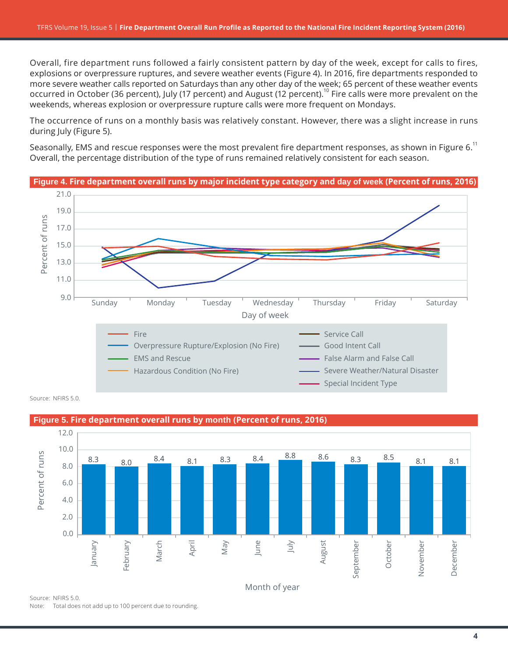Overall, fire department runs followed a fairly consistent pattern by day of the week, except for calls to fires, explosions or overpressure ruptures, and severe weather events (Figure 4). In 2016, fire departments responded to more severe weather calls reported on Saturdays than any other day of the week; 65 percent of these weather events occurred in October (36 percent), July (17 percent) and August (12 percent).<sup>10</sup> Fire calls were more prevalent on the weekends, whereas explosion or overpressure rupture calls were more frequent on Mondays.

The occurrence of runs on a monthly basis was relatively constant. However, there was a slight increase in runs during July (Figure 5).

Seasonally, EMS and rescue responses were the most prevalent fire department responses, as shown in Figure 6.<sup>11</sup> Overall, the percentage distribution of the type of runs remained relatively consistent for each season.



Source: NFIRS 5.0.



Note: Total does not add up to 100 percent due to rounding.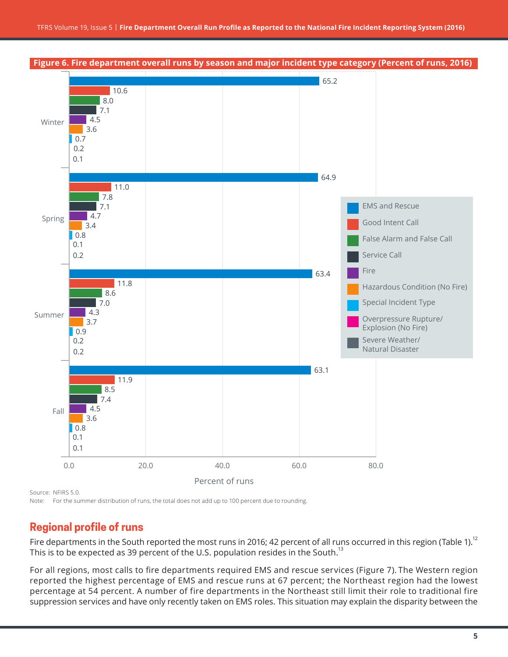

Source: NFIRS 5.0.

Note: For the summer distribution of runs, the total does not add up to 100 percent due to rounding.

## **Regional profile of runs**

Fire departments in the South reported the most runs in 2016; 42 percent of all runs occurred in this region (Table 1).<sup>12</sup> This is to be expected as 39 percent of the U.S. population resides in the South.<sup>13</sup>

For all regions, most calls to fire departments required EMS and rescue services (Figure 7). The Western region reported the highest percentage of EMS and rescue runs at 67 percent; the Northeast region had the lowest percentage at 54 percent. A number of fire departments in the Northeast still limit their role to traditional fire suppression services and have only recently taken on EMS roles. This situation may explain the disparity between the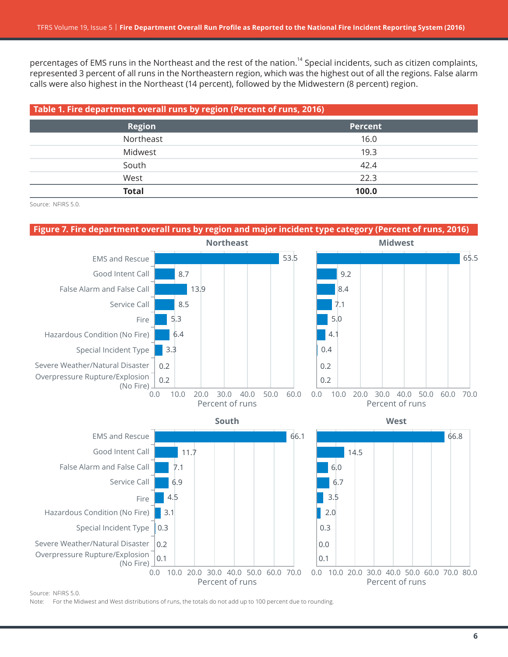percentages of EMS runs in the Northeast and the rest of the nation.<sup>14</sup> Special incidents, such as citizen complaints, represented 3 percent of all runs in the Northeastern region, which was the highest out of all the regions. False alarm calls were also highest in the Northeast (14 percent), followed by the Midwestern (8 percent) region.

| Table 1. Fire department overall runs by region (Percent of runs, 2016) |                |  |
|-------------------------------------------------------------------------|----------------|--|
| <b>Region</b>                                                           | <b>Percent</b> |  |
| Northeast                                                               | 16.0           |  |
| Midwest                                                                 | 19.3           |  |
| South                                                                   | 42.4           |  |
| West                                                                    | 22.3           |  |
| <b>Total</b>                                                            | 100.0          |  |

Source: NFIRS 5.0.

#### **Figure 7. Fire department overall runs by region and major incident type category (Percent of runs, 2016)**



Source: NFIRS 5.0.

Note: For the Midwest and West distributions of runs, the totals do not add up to 100 percent due to rounding.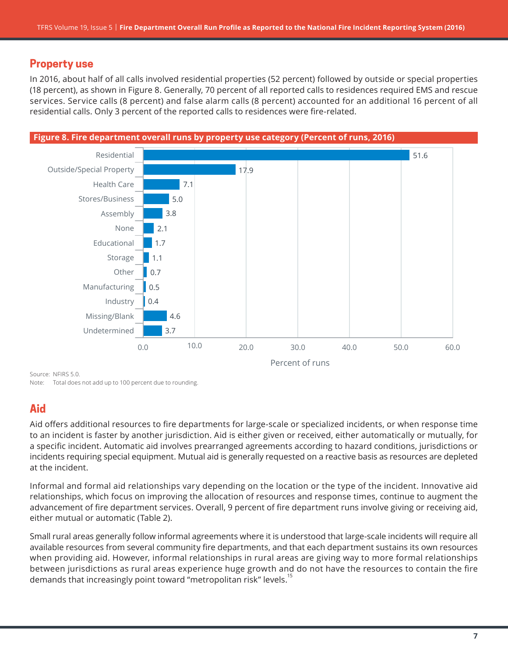## **Property use**

In 2016, about half of all calls involved residential properties (52 percent) followed by outside or special properties (18 percent), as shown in Figure 8. Generally, 70 percent of all reported calls to residences required EMS and rescue services. Service calls (8 percent) and false alarm calls (8 percent) accounted for an additional 16 percent of all residential calls. Only 3 percent of the reported calls to residences were fire-related.



Source: NFIRS 5.0. Note: Total does not add up to 100 percent due to rounding.

# **Aid**

Aid offers additional resources to fire departments for large-scale or specialized incidents, or when response time to an incident is faster by another jurisdiction. Aid is either given or received, either automatically or mutually, for a specific incident. Automatic aid involves prearranged agreements according to hazard conditions, jurisdictions or incidents requiring special equipment. Mutual aid is generally requested on a reactive basis as resources are depleted at the incident.

Informal and formal aid relationships vary depending on the location or the type of the incident. Innovative aid relationships, which focus on improving the allocation of resources and response times, continue to augment the advancement of fire department services. Overall, 9 percent of fire department runs involve giving or receiving aid, either mutual or automatic (Table 2).

Small rural areas generally follow informal agreements where it is understood that large-scale incidents will require all available resources from several community fire departments, and that each department sustains its own resources when providing aid. However, informal relationships in rural areas are giving way to more formal relationships between jurisdictions as rural areas experience huge growth and do not have the resources to contain the fire demands that increasingly point toward "metropolitan risk" levels.<sup>15</sup>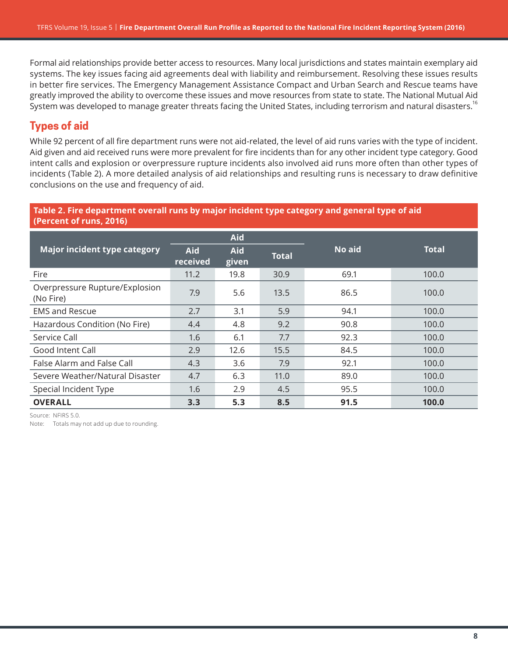Formal aid relationships provide better access to resources. Many local jurisdictions and states maintain exemplary aid systems. The key issues facing aid agreements deal with liability and reimbursement. Resolving these issues results in better fire services. The Emergency Management Assistance Compact and Urban Search and Rescue teams have greatly improved the ability to overcome these issues and move resources from state to state. The National Mutual Aid System was developed to manage greater threats facing the United States, including terrorism and natural disasters.<sup>16</sup>

# **Types of aid**

While 92 percent of all fire department runs were not aid-related, the level of aid runs varies with the type of incident. Aid given and aid received runs were more prevalent for fire incidents than for any other incident type category. Good intent calls and explosion or overpressure rupture incidents also involved aid runs more often than other types of incidents (Table 2). A more detailed analysis of aid relationships and resulting runs is necessary to draw definitive conclusions on the use and frequency of aid.

#### **Table 2. Fire department overall runs by major incident type category and general type of aid (Percent of runs, 2016)**

|                                             |                        | <b>Aid</b>          |              |        |              |
|---------------------------------------------|------------------------|---------------------|--------------|--------|--------------|
| <b>Major incident type category</b>         | <b>Aid</b><br>received | <b>Aid</b><br>given | <b>Total</b> | No aid | <b>Total</b> |
| Fire                                        | 11.2                   | 19.8                | 30.9         | 69.1   | 100.0        |
| Overpressure Rupture/Explosion<br>(No Fire) | 7.9                    | 5.6                 | 13.5         | 86.5   | 100.0        |
| <b>EMS and Rescue</b>                       | 2.7                    | 3.1                 | 5.9          | 94.1   | 100.0        |
| Hazardous Condition (No Fire)               | 4.4                    | 4.8                 | 9.2          | 90.8   | 100.0        |
| Service Call                                | 1.6                    | 6.1                 | 7.7          | 92.3   | 100.0        |
| Good Intent Call                            | 2.9                    | 12.6                | 15.5         | 84.5   | 100.0        |
| False Alarm and False Call                  | 4.3                    | 3.6                 | 7.9          | 92.1   | 100.0        |
| Severe Weather/Natural Disaster             | 4.7                    | 6.3                 | 11.0         | 89.0   | 100.0        |
| Special Incident Type                       | 1.6                    | 2.9                 | 4.5          | 95.5   | 100.0        |
| <b>OVERALL</b>                              | 3.3                    | 5.3                 | 8.5          | 91.5   | 100.0        |

Source: NFIRS 5.0.

Note: Totals may not add up due to rounding.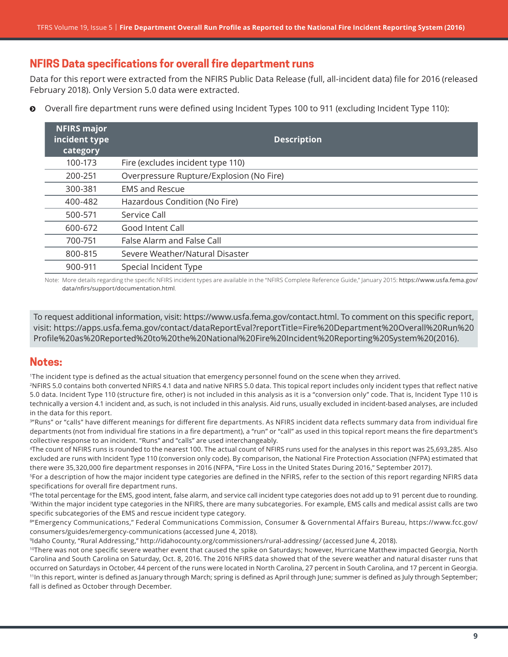# **NFIRS Data specifications for overall fire department runs**

Data for this report were extracted from the NFIRS Public Data Release (full, all-incident data) file for 2016 (released February 2018). Only Version 5.0 data were extracted.

**O** Overall fire department runs were defined using Incident Types 100 to 911 (excluding Incident Type 110):

| <b>NFIRS major</b><br>incident type<br>category | <b>Description</b>                       |
|-------------------------------------------------|------------------------------------------|
| 100-173                                         | Fire (excludes incident type 110)        |
| 200-251                                         | Overpressure Rupture/Explosion (No Fire) |
| 300-381                                         | <b>EMS and Rescue</b>                    |
| 400-482                                         | Hazardous Condition (No Fire)            |
| 500-571                                         | Service Call                             |
| 600-672                                         | Good Intent Call                         |
| 700-751                                         | False Alarm and False Call               |
| 800-815                                         | Severe Weather/Natural Disaster          |
| 900-911                                         | Special Incident Type                    |

Note: More details regarding the specific NFIRS incident types are available in the "NFIRS Complete Reference Guide," January 2015: [https://www.usfa.fema.gov/](https://www.usfa.fema.gov/data/nfirs/support/documentation.html) [data/nfirs/support/documentation.html](https://www.usfa.fema.gov/data/nfirs/support/documentation.html).

To request additional information, visit:<https://www.usfa.fema.gov/contact.html>. To comment on this specific report, visit: [https://apps.usfa.fema.gov/contact/dataReportEval?reportTitle=Fire%20Department%20Overall%20Run%20](https://apps.usfa.fema.gov/contact/dataReportEval?reportTitle=Fire%20Department%20Overall%20Run%20Profile%20as%20Reported%20to%20the%20National%20Fire%20Incident%20Reporting%20System%20(2016)) [Profile%20as%20Reported%20to%20the%20National%20Fire%20Incident%20Reporting%20System%20\(201](https://apps.usfa.fema.gov/contact/dataReportEval?reportTitle=Fire%20Department%20Overall%20Run%20Profile%20as%20Reported%20to%20the%20National%20Fire%20Incident%20Reporting%20System%20(2016))6).

#### **Notes:**

<sup>1</sup>The incident type is defined as the actual situation that emergency personnel found on the scene when they arrived.

<sup>2</sup>NFIRS 5.0 contains both converted NFIRS 4.1 data and native NFIRS 5.0 data. This topical report includes only incident types that reflect native 5.0 data. Incident Type 110 (structure fire, other) is not included in this analysis as it is a "conversion only" code. That is, Incident Type 110 is technically a version 4.1 incident and, as such, is not included in this analysis. Aid runs, usually excluded in incident-based analyses, are included in the data for this report.

3"Runs" or "calls" have different meanings for different fire departments. As NFIRS incident data reflects summary data from individual fire departments (not from individual fire stations in a fire department), a "run" or "call" as used in this topical report means the fire department's collective response to an incident. "Runs" and "calls" are used interchangeably.

4The count of NFIRS runs is rounded to the nearest 100. The actual count of NFIRS runs used for the analyses in this report was 25,693,285. Also excluded are runs with Incident Type 110 (conversion only code). By comparison, the National Fire Protection Association (NFPA) estimated that there were 35,320,000 fire department responses in 2016 (NFPA, "Fire Loss in the United States During 2016," September 2017).

5For a description of how the major incident type categories are defined in the NFIRS, refer to the section of this report regarding NFIRS data specifications for overall fire department runs.

<sup>6</sup>The total percentage for the EMS, good intent, false alarm, and service call incident type categories does not add up to 91 percent due to rounding. 7Within the major incident type categories in the NFIRS, there are many subcategories. For example, EMS calls and medical assist calls are two specific subcategories of the EMS and rescue incident type category.

8"Emergency Communications," Federal Communications Commission, Consumer & Governmental Affairs Bureau, [https://www.fcc.gov/](https://www.fcc.gov/consumers/guides/emergency-communications) [consumers/guides/emergency-communications](https://www.fcc.gov/consumers/guides/emergency-communications) (accessed June 4, 2018).

9Idaho County, "Rural Addressing,"<http://idahocounty.org/commissioners/rural-addressing/>(accessed June 4, 2018).

<sup>10</sup>There was not one specific severe weather event that caused the spike on Saturdays; however, Hurricane Matthew impacted Georgia, North Carolina and South Carolina on Saturday, Oct. 8, 2016. The 2016 NFIRS data showed that of the severe weather and natural disaster runs that occurred on Saturdays in October, 44 percent of the runs were located in North Carolina, 27 percent in South Carolina, and 17 percent in Georgia. <sup>11</sup>In this report, winter is defined as January through March; spring is defined as April through June; summer is defined as July through September; fall is defined as October through December.